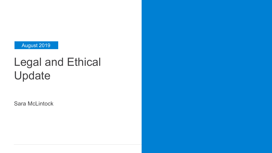#### August 2019

# Legal and Ethical Update

Sara McLintock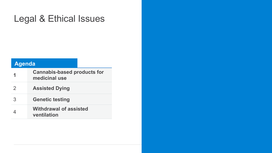### Legal & Ethical Issues

#### **Agenda**

|               | <b>Cannabis-based products for</b><br>medicinal use |
|---------------|-----------------------------------------------------|
| $\mathcal{P}$ | <b>Assisted Dying</b>                               |
| 3             | <b>Genetic testing</b>                              |
| 4             | <b>Withdrawal of assisted</b><br>ventilation        |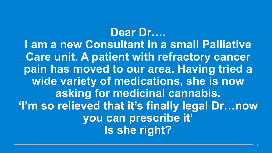**Dear Dr…. I am a new Consultant in a small Palliative Care unit. A patient with refractory cancer pain has moved to our area. Having tried a wide variety of medications, she is now asking for medicinal cannabis. 'I'm so relieved that it's finally legal Dr…now you can prescribe it' Is she right?**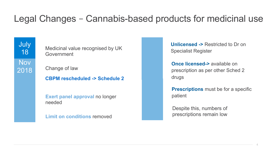### Legal Changes – Cannabis-based products for medicinal use

**Nov** 2018 **July** 18

Medicinal value recognised by UK Government

Change of law

**CBPM rescheduled -> Schedule 2**

**Exert panel approval no longer** needed

**Limit on conditions** removed

**Unlicensed ->** Restricted to Dr on Specialist Register

**Once licensed->** available on prescription as per other Sched 2 drugs

**Prescriptions** must be for a specific patient

Despite this, numbers of prescriptions remain low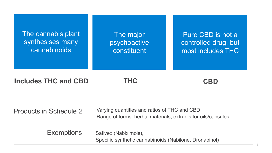The cannabis plant synthesises many cannabinoids

The major psychoactive constituent

Pure CBD is not a controlled drug, but most includes THC

**Includes THC and CBD** 

**THC CBD** 

Products in Schedule 2

Varying quantities and ratios of THC and CBD Range of forms: herbal materials, extracts for oils/capsules

Exemptions Sativex (Nabiximols), Specific synthetic cannabinoids (Nabilone, Dronabinol)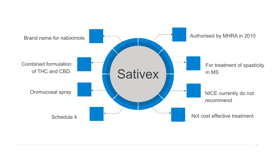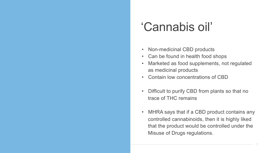# 'Cannabis oil'

- Non-medicinal CBD products
- Can be found in health food shops
- Marketed as food supplements, not regulated as medicinal products
- Contain low concentrations of CBD
- Difficult to purify CBD from plants so that no trace of THC remains
- MHRA says that if a CBD product contains any controlled cannabinoids, then it is highly liked that the product would be controlled under the Misuse of Drugs regulations.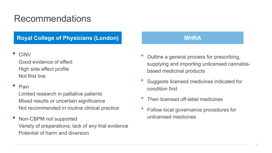### Recommendations

#### **Royal College of Physicians (London) and a state of MHRA and MHRA**

• CINV

Good evidence of effect High side effect profile Not first line

#### • Pain

Limited research in palliative patients Mixed results or uncertain significance Not recommended in routine clinical practice.

• Non-CBPM not supported Variety of preparations; lack of any trial evidence Potential of harm and diversion

- Outline a general process for prescribing, supplying and importing unlicensed cannabisbased medicinal products
- Suggests licensed medicines indicated for condition first
- Then licensed off-label medicines
- Follow local governance procedures for unlicensed medicines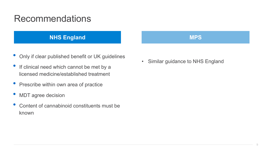#### Recommendations

#### **NHS England MPS MPS**

- Only if clear published benefit or UK guidelines
- If clinical need which cannot be met by a licensed medicine/established treatment
- Prescribe within own area of practice
- MDT agree decision
- Content of cannabinoid constituents must be known

• Similar guidance to NHS England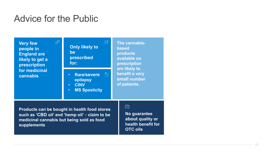#### Advice for the Public

**Very few people in England are likely to get a prescription for medicinal cannabis** 



**Products can be bought in health food stores such as 'CBD oil' and 'hemp oil' – claim to be medicinal cannabis but being sold as food supplements** 

#### $\sqrt{2}$

**No guarantee about quality or health benefit for OTC oils**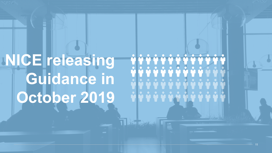

V V V V V V V V V V V 

THE SALE

11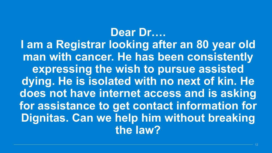**Dear Dr…. I am a Registrar looking after an 80 year old man with cancer. He has been consistently expressing the wish to pursue assisted dying. He is isolated with no next of kin. He does not have internet access and is asking for assistance to get contact information for Dignitas. Can we help him without breaking the law?**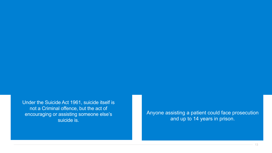Under the Suicide Act 1961, suicide itself is not a Criminal offence, but the act of encouraging or assisting someone else's suicide is.

Anyone assisting a patient could face prosecution and up to 14 years in prison.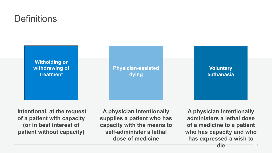### **Definitions**



 **Intentional, at the request of a patient with capacity (or in best interest of patient without capacity)** 

**A physician intentionally supplies a patient who has capacity with the means to self-administer a lethal dose of medicine** 

**A physician intentionally administers a lethal dose of a medicine to a patient who has capacity and who has expressed a wish to** 

14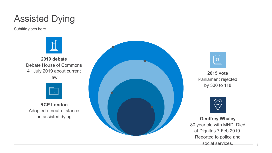## Assisted Dying

Subtitle goes here



Parliament rejected

80 year old with MND. Died at Dignitas 7 Feb 2019. Reported to police and social services. **Geoffrey Whaley**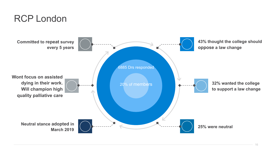#### RCP London

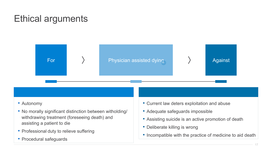### Ethical arguments



- Autonomy
- No morally significant distinction between witholding/ withdrawing treatment (foreseeing death) and assisting a patient to die
- Professional duty to relieve suffering
- Procedural safeguards
- Current law deters exploitation and abuse
- Adequate safeguards impossible
- Assisting suicide is an active promotion of death
- Deliberate killing is wrong
- Incompatible with the practice of medicine to aid death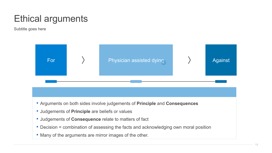### Ethical arguments

Subtitle goes here



- Arguments on both sides involve judgements of **Principle** and **Consequences**
- Judgements of **Principle** are beliefs or values
- Judgements of **Consequence** relate to matters of fact
- Decision = combination of assessing the facts and acknowledging own moral position
- Many of the arguments are mirror images of the other.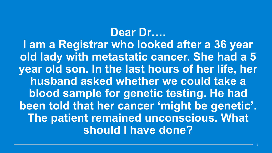**Dear Dr…. I am a Registrar who looked after a 36 year old lady with metastatic cancer. She had a 5 year old son. In the last hours of her life, her husband asked whether we could take a blood sample for genetic testing. He had been told that her cancer 'might be genetic'. The patient remained unconscious. What should I have done?**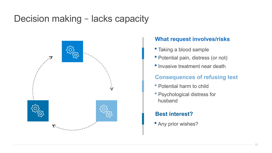### Decision making – lacks capacity



#### **What request involves/risks**

- Taking a blood sample
- Potential pain, distress (or not)
- Invasive treatment near death

#### **Consequences of refusing test**

- Potential harm to child
- Psychological distress for husband

#### **Best interest?**

• Any prior wishes?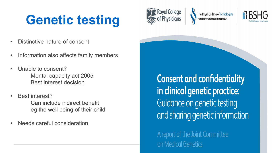# **Genetic testing**

- Distinctive nature of consent
- Information also affects family members
- Unable to consent? Mental capacity act 2005 Best interest decision
- Best interest? Can include indirect benefit eg the well being of their child
- Needs careful consideration



The Royal College of Pathologists Pathology: the science behind the cure



**Consent and confidentiality** in clinical genetic practice: Guidance on genetic testing and sharing genetic information

A report of the Joint Committee on Medical Genetics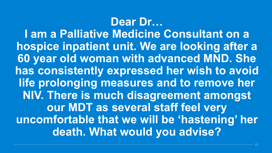# **Dear Dr…**

**I am a Palliative Medicine Consultant on a hospice inpatient unit. We are looking after a 60 year old woman with advanced MND. She has consistently expressed her wish to avoid life prolonging measures and to remove her NIV. There is much disagreement amongst our MDT as several staff feel very uncomfortable that we will be 'hastening' her death. What would you advise?**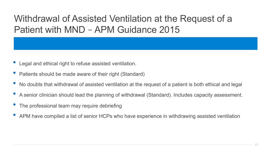### Withdrawal of Assisted Ventilation at the Request of a Patient with MND – APM Guidance 2015

- Legal and ethical right to refuse assisted ventilation.
- Patients should be made aware of their right (Standard)
- No doubts that withdrawal of assisted ventilation at the request of a patient is both ethical and legal
- A senior clinician should lead the planning of withdrawal (Standard). Includes capacity assessment.
- The professional team may require debriefing
- APM have compiled a list of senior HCPs who have experience in withdrawing assisted ventilation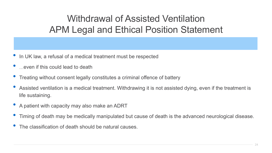### Withdrawal of Assisted Ventilation APM Legal and Ethical Position Statement

- In UK law, a refusal of a medical treatment must be respected
- ... even if this could lead to death
- Treating without consent legally constitutes a criminal offence of battery
- Assisted ventilation is a medical treatment. Withdrawing it is not assisted dying, even if the treatment is life sustaining.
- A patient with capacity may also make an ADRT
- Timing of death may be medically manipulated but cause of death is the advanced neurological disease.
- The classification of death should be natural causes.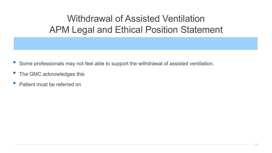### Withdrawal of Assisted Ventilation APM Legal and Ethical Position Statement

- Some professionals may not feel able to support the withdrawal of assisted ventilation.
- The GMC acknowledges this
- Patient must be referred on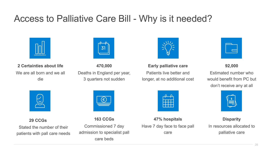#### Access to Palliative Care Bill - Why is it needed?





**2 Certainties about life**  We are all born and we all die

**470,000**  Deaths in England per year, 3 quarters not sudden



**Early palliative care**  Patients live better and longer, at no additional cost



**92,000** 

Estimated number who would benefit from PC but don't receive any at all



**29 CCGs** 

Stated the number of their patients with pall care needs

**163 CCGs**  Commissioned 7 day admission to specialist pall care beds

 $\left(\boldsymbol{\epsilon}\right)$ 



**47% hospitals**  Have 7 day face to face pall care



**Disparity**  In resources allocated to palliative care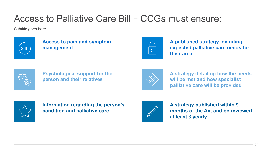### Access to Palliative Care Bill – CCGs must ensure:

Subtitle goes here



**Access to pain and symptom management** 



**A published strategy including expected palliative care needs for their area** 



**Psychological support for the person and their relatives** 



**A strategy detailing how the needs will be met and how specialist palliative care will be provided** 



**Information regarding the person's condition and palliative care** 



**A strategy published within 9 months of the Act and be reviewed at least 3 yearly**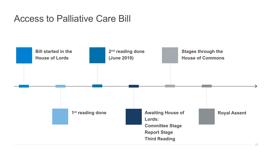#### Access to Palliative Care Bill